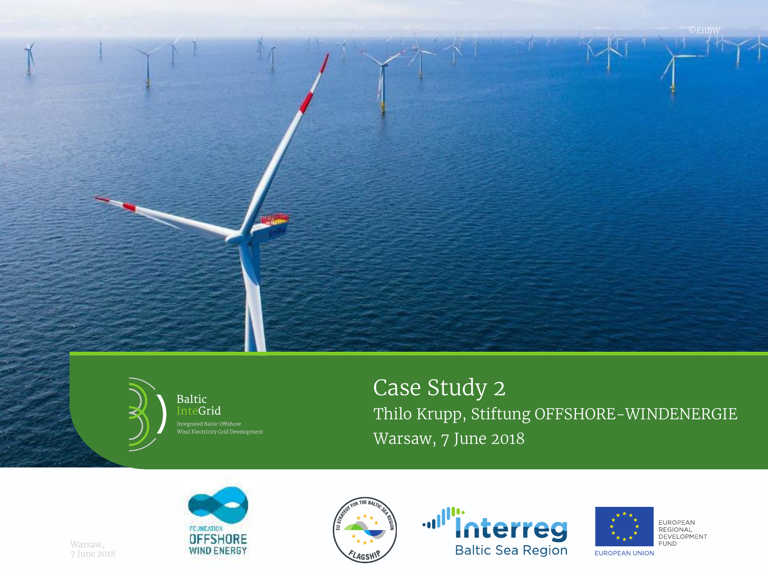



**Baltic** InteGrid Wind Electricity Grid Development Case Study 2 Thilo Krupp, Stiftung OFFSHORE-WINDENERGIE Warsaw, 7 June 2018









EUROPEAN<br>REGIONAL DEVELOPMENT **FUND** 

Warsaw, 7 June 2018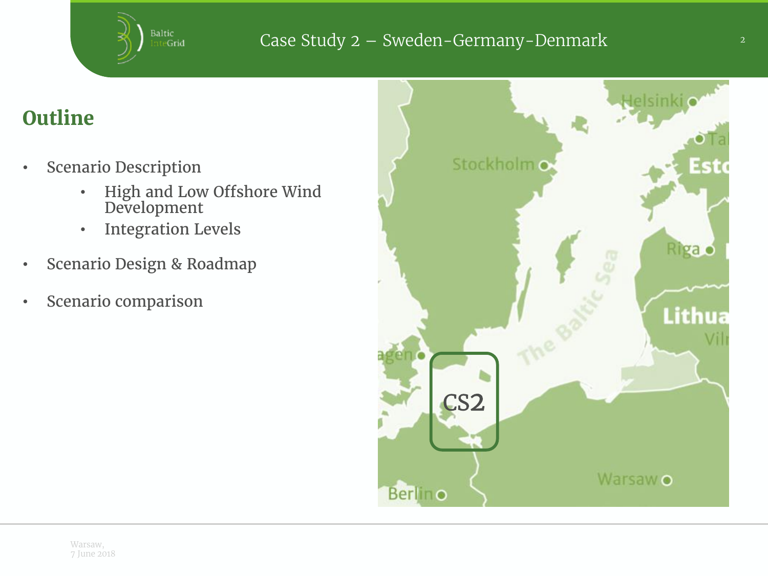

# **Outline**

- Scenario Description
	- High and Low Offshore Wind Development
	- Integration Levels
- Scenario Design & Roadmap
- Scenario comparison

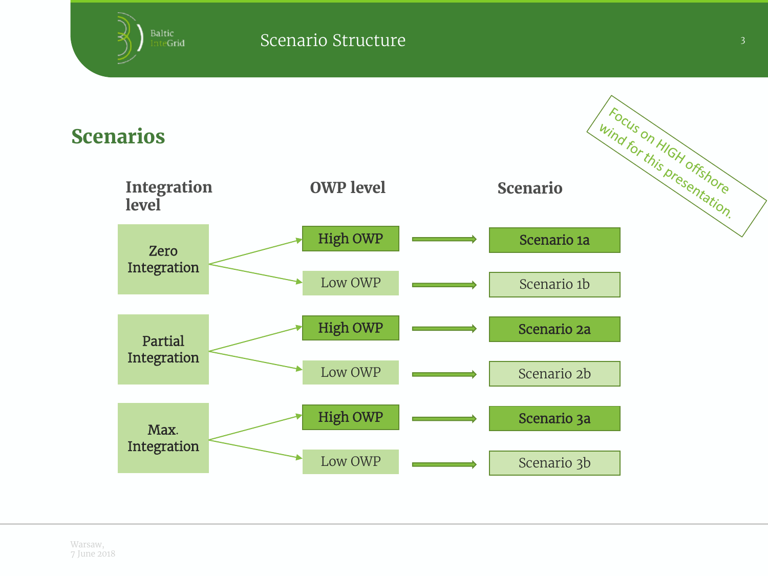I Focus on HIGH offshore Scenarios **Integration OWP level Scenario level** High OWP Scenario 1a Zero Integration Low OWP Scenario 1b High OWP Scenario 2a Partial Integration Low OWP Scenario 2b High OWP Scenario 3a Max. Integration Low OWP Scenario 3b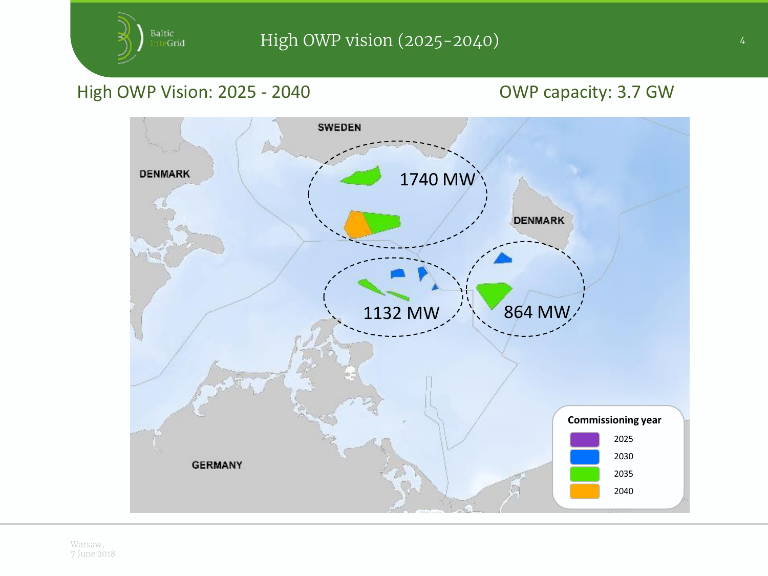## High OWP Vision: 2025 - 2040 OWP capacity: 3.7 GW

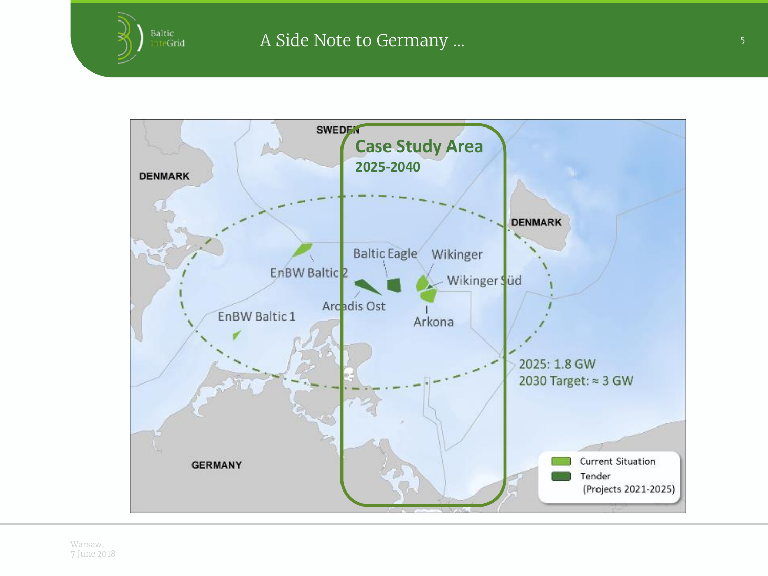

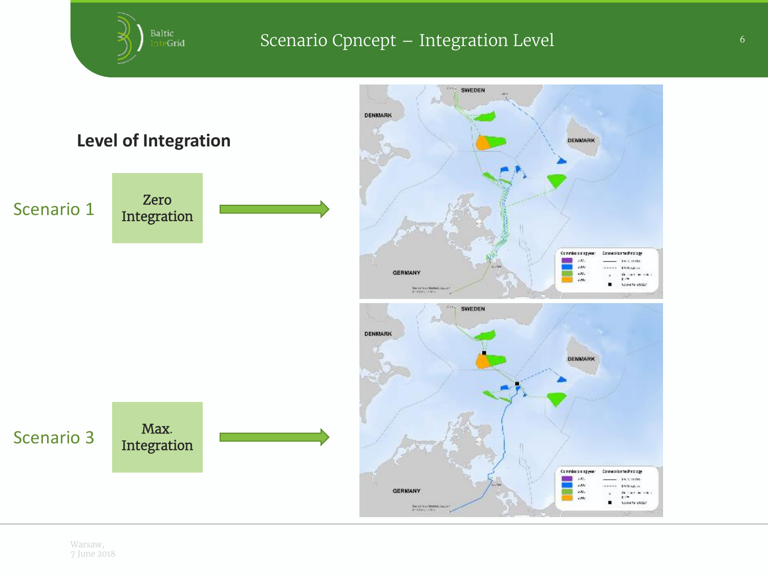### Scenario Cpncept – Integration Level **Exercise 2 Integration**

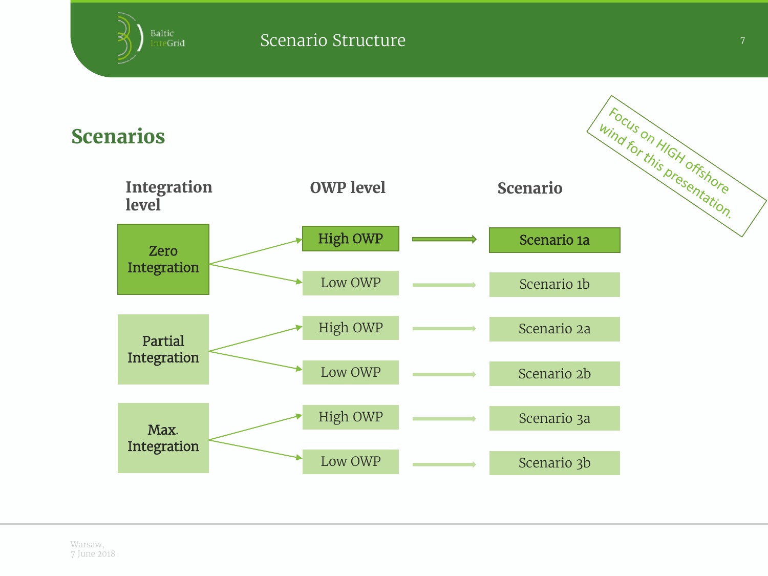I Focus on HIGH offshore Scenarios **Integration OWP level Scenario level** High OWP Scenario 1a Zero Integration Low OWP Scenario 1b High OWP Scenario 2a Partial Integration Low OWP Scenario 2b High OWP Scenario 3a Max. Integration Low OWP Scenario 3b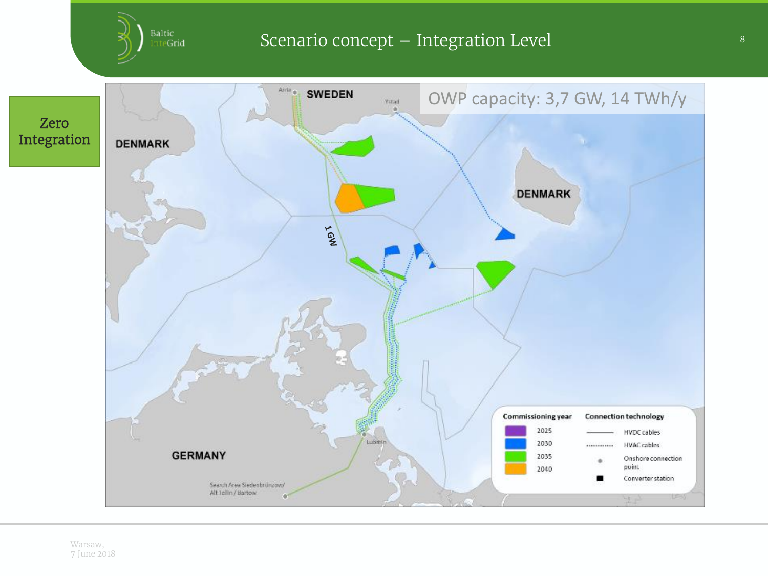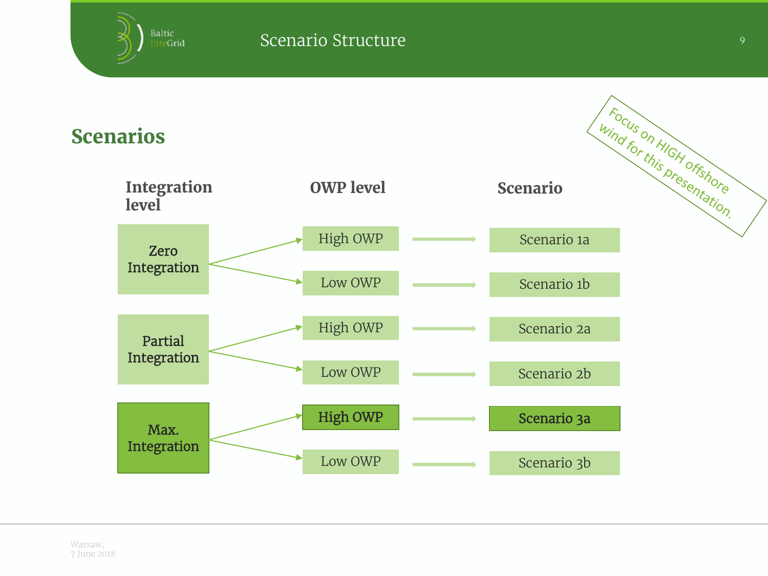Wind For this presentation. Scenarios **Integration OWP level Scenario level** High OWP Scenario 1a Zero Integration Low OWP Scenario 1b High OWP Scenario 2a Partial Integration Low OWP Scenario 2b High OWP Scenario 3a Max. Integration Low OWP Scenario 3b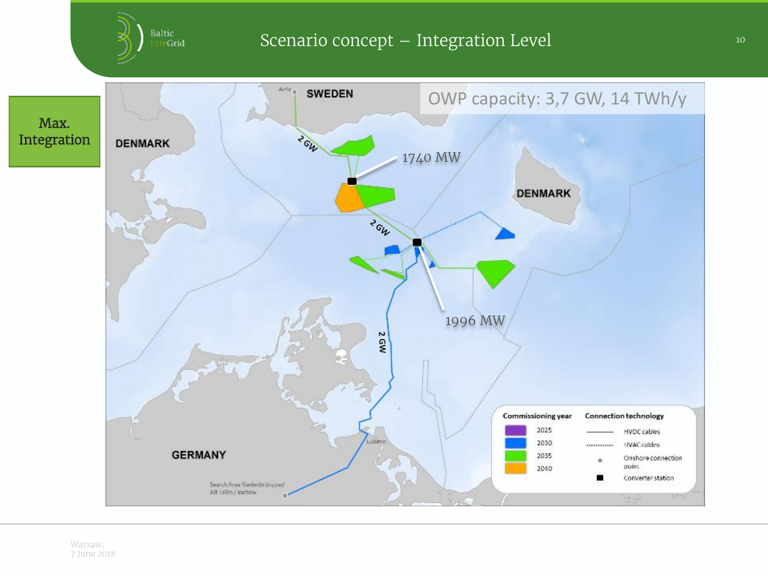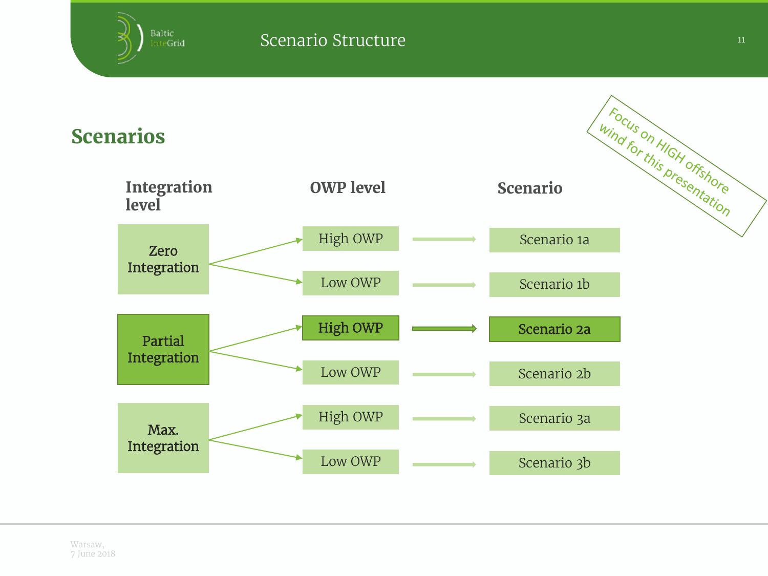Wind For this presentation Scenarios **Integration OWP level Scenario level** High OWP Scenario 1a Zero Integration Low OWP Scenario 1b High OWP Scenario 2a Partial Integration Low OWP Scenario 2b High OWP Scenario 3a Max. Integration Low OWP Scenario 3b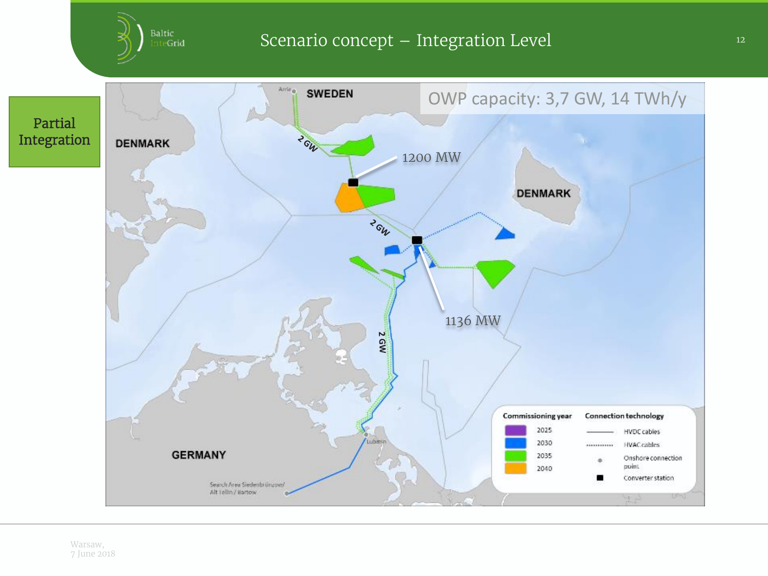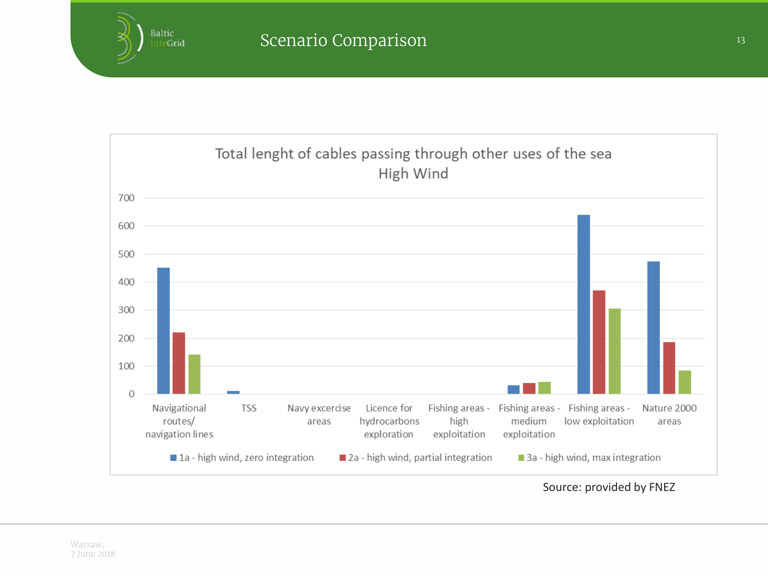

Source: provided by FNEZ

Baltic InteGrid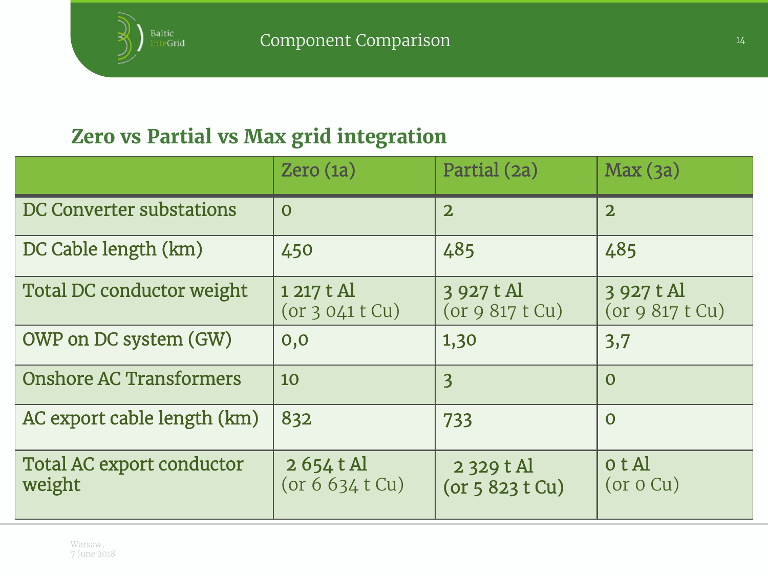# Zero vs Partial vs Max grid integration

|                                     | Zero(1a)                               | Partial (2a)                  | Max(3a)                      |
|-------------------------------------|----------------------------------------|-------------------------------|------------------------------|
| DC Converter substations            | $\overline{O}$                         | $\overline{2}$                | $\overline{2}$               |
| DC Cable length (km)                | 450                                    | 485                           | 485                          |
| Total DC conductor weight           | $1217t$ Al<br>(or 3041 t Cu)           | 3 927 t Al<br>(or 9817 t Cu)  | 3 927 t Al<br>(or 9817 t Cu) |
| OWP on DC system (GW)               | 0,0                                    | 1,30                          | 3,7                          |
| <b>Onshore AC Transformers</b>      | 10                                     | 3                             | $\overline{0}$               |
| AC export cable length (km)         | 832                                    | 733                           | $\mathbf 0$                  |
| Total AC export conductor<br>weight | $2654 \text{ t Al}$<br>(or 6 634 t Cu) | $2329 t$ Al<br>(or 5823 t Cu) | o t Al<br>(or 0 Cu)          |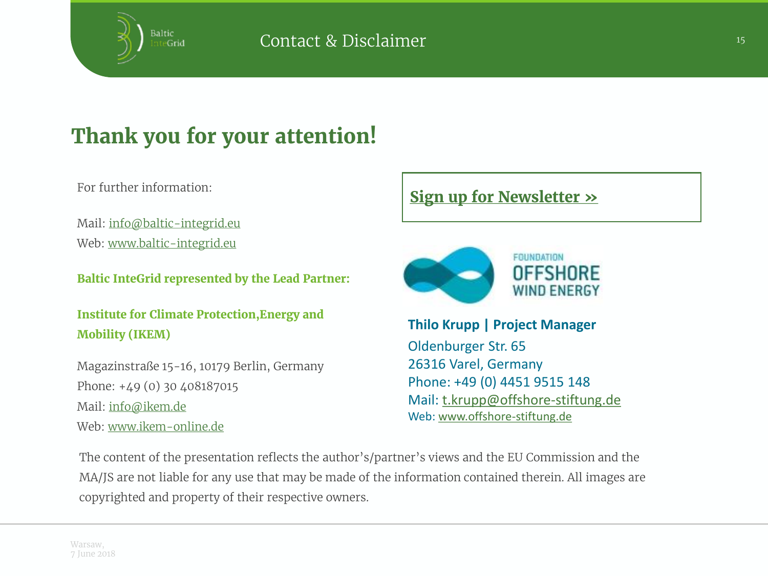

# **Thank you for your attention!**

For further information:

Mail: [info@baltic-integrid.eu](mailto:info@baltic-integrid.eu) Web: [www.baltic-integrid.eu](http://www.baltic-integrid.eu/)

Baltic InteGrid represented by the Lead Partner:

Institute for Climate Protection,Energy and Mobility (IKEM)

Magazinstraße 15-16, 10179 Berlin, Germany Phone: +49 (0) 30 408187015 Mail: [info@ikem.de](mailto:info@ikem.de) Web: [www.ikem-online.de](http://www.ikem-online.de/)

#### Sign up for [Newsletter](http://www.baltic-integrid.eu/index.php/newsletter.html)  $\gg$



**Thilo Krupp | Project Manager**  Oldenburger Str. 65 26316 Varel, Germany Phone: +49 (0) 4451 9515 148 Mail: [t.krupp@offshore-stiftung.de](mailto:t.krupp@offshore-stiftung.de) Web: [www.offshore-stiftung.de](http://www.offshore-stiftung.de/)

The content of the presentation reflects the author's/partner's views and the EU Commission and the MA/JS are not liable for any use that may be made of the information contained therein. All images are copyrighted and property of their respective owners.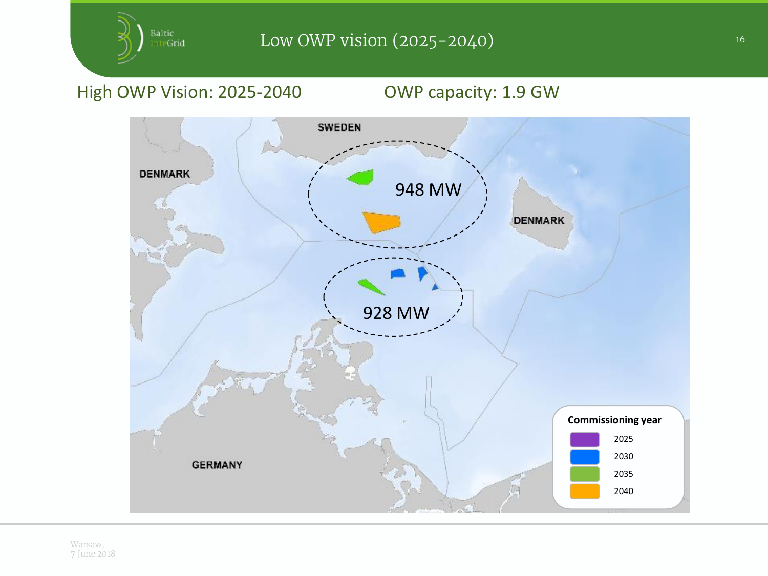### High OWP Vision: 2025-2040 OWP capacity: 1.9 GW

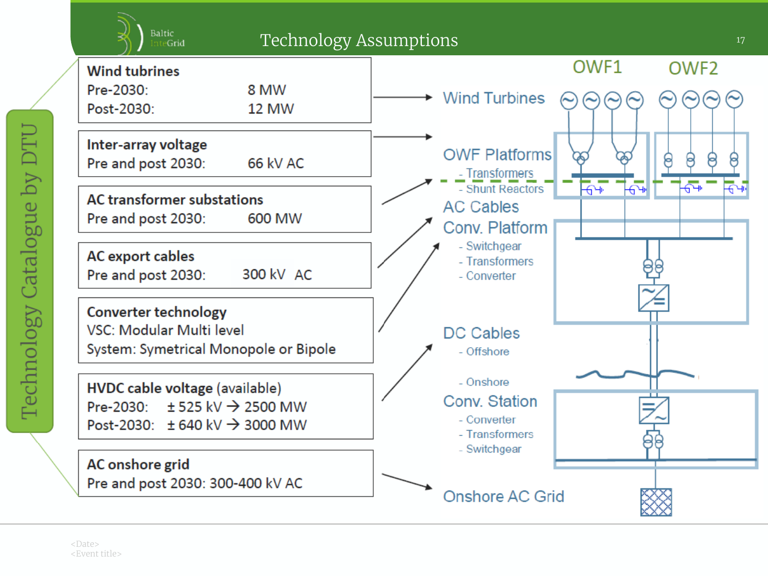

Technology Catalogue by DTU